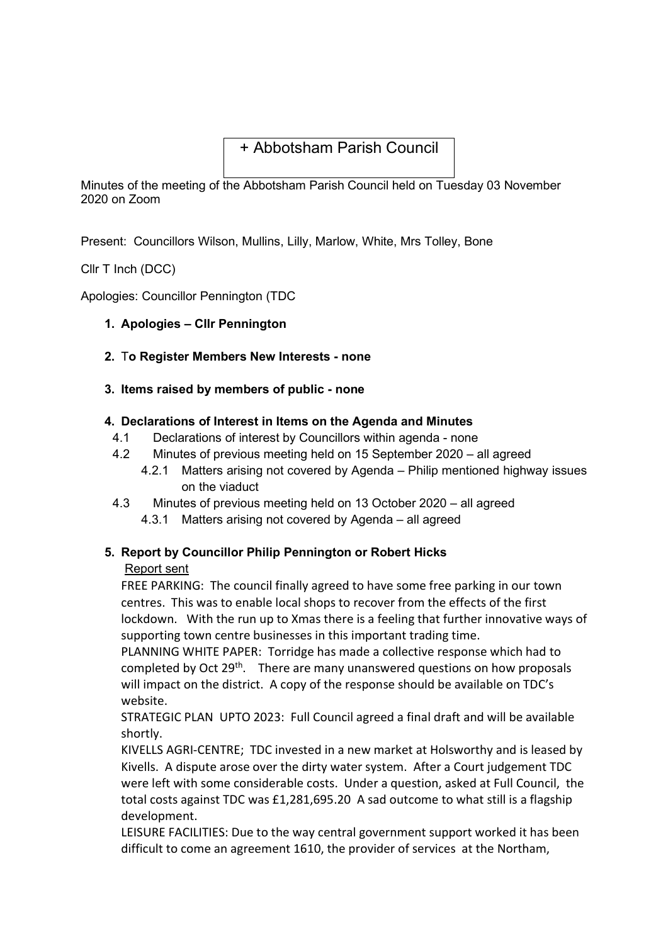# + Abbotsham Parish Council

Minutes of the meeting of the Abbotsham Parish Council held on Tuesday 03 November 2020 on Zoom

Present: Councillors Wilson, Mullins, Lilly, Marlow, White, Mrs Tolley, Bone

Cllr T Inch (DCC)

Apologies: Councillor Pennington (TDC

- 1. Apologies Cllr Pennington
- 2. To Register Members New Interests none
- 3. Items raised by members of public none

### 4. Declarations of Interest in Items on the Agenda and Minutes

- 4.1 Declarations of interest by Councillors within agenda none
- 4.2 Minutes of previous meeting held on 15 September 2020 all agreed
	- 4.2.1 Matters arising not covered by Agenda Philip mentioned highway issues on the viaduct
- 4.3 Minutes of previous meeting held on 13 October 2020 all agreed
	- 4.3.1 Matters arising not covered by Agenda all agreed

## 5. Report by Councillor Philip Pennington or Robert Hicks

#### Report sent

FREE PARKING: The council finally agreed to have some free parking in our town centres. This was to enable local shops to recover from the effects of the first lockdown. With the run up to Xmas there is a feeling that further innovative ways of supporting town centre businesses in this important trading time.

PLANNING WHITE PAPER: Torridge has made a collective response which had to completed by Oct 29<sup>th</sup>. There are many unanswered questions on how proposals will impact on the district. A copy of the response should be available on TDC's website.

STRATEGIC PLAN UPTO 2023: Full Council agreed a final draft and will be available shortly.

KIVELLS AGRI-CENTRE; TDC invested in a new market at Holsworthy and is leased by Kivells. A dispute arose over the dirty water system. After a Court judgement TDC were left with some considerable costs. Under a question, asked at Full Council, the total costs against TDC was £1,281,695.20 A sad outcome to what still is a flagship development.

LEISURE FACILITIES: Due to the way central government support worked it has been difficult to come an agreement 1610, the provider of services at the Northam,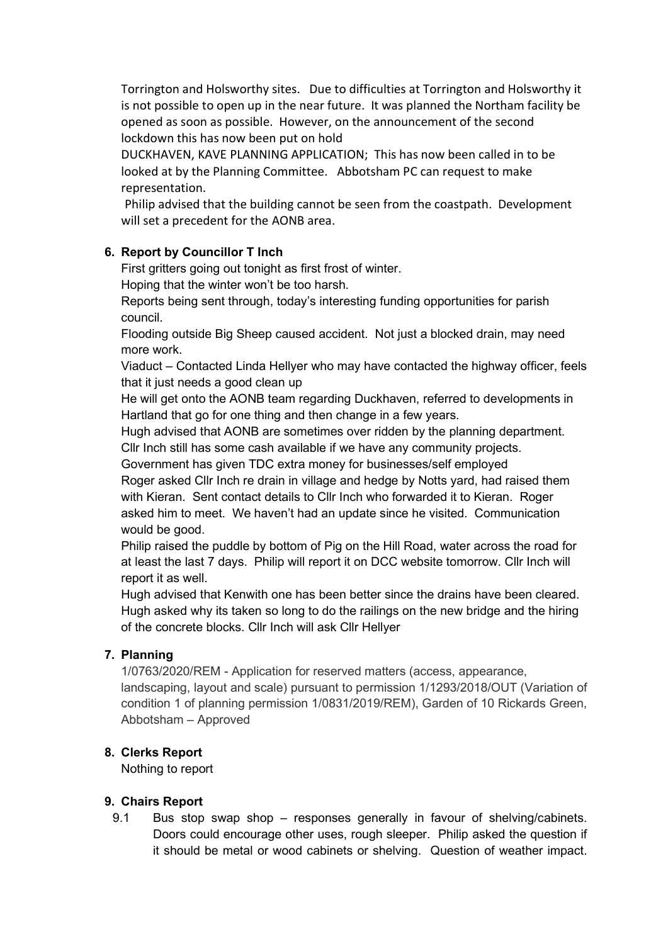Torrington and Holsworthy sites. Due to difficulties at Torrington and Holsworthy it is not possible to open up in the near future. It was planned the Northam facility be opened as soon as possible. However, on the announcement of the second lockdown this has now been put on hold

DUCKHAVEN, KAVE PLANNING APPLICATION; This has now been called in to be looked at by the Planning Committee. Abbotsham PC can request to make representation.

Philip advised that the building cannot be seen from the coastpath. Development will set a precedent for the AONB area.

# 6. Report by Councillor T Inch

First gritters going out tonight as first frost of winter.

Hoping that the winter won't be too harsh.

Reports being sent through, today's interesting funding opportunities for parish council.

Flooding outside Big Sheep caused accident. Not just a blocked drain, may need more work.

Viaduct – Contacted Linda Hellyer who may have contacted the highway officer, feels that it just needs a good clean up

He will get onto the AONB team regarding Duckhaven, referred to developments in Hartland that go for one thing and then change in a few years.

Hugh advised that AONB are sometimes over ridden by the planning department. Cllr Inch still has some cash available if we have any community projects.

Government has given TDC extra money for businesses/self employed

Roger asked Cllr Inch re drain in village and hedge by Notts yard, had raised them with Kieran. Sent contact details to Cllr Inch who forwarded it to Kieran. Roger asked him to meet. We haven't had an update since he visited. Communication would be good.

Philip raised the puddle by bottom of Pig on the Hill Road, water across the road for at least the last 7 days. Philip will report it on DCC website tomorrow. Cllr Inch will report it as well.

Hugh advised that Kenwith one has been better since the drains have been cleared. Hugh asked why its taken so long to do the railings on the new bridge and the hiring of the concrete blocks. Cllr Inch will ask Cllr Hellyer

## 7. Planning

1/0763/2020/REM - Application for reserved matters (access, appearance, landscaping, layout and scale) pursuant to permission 1/1293/2018/OUT (Variation of condition 1 of planning permission 1/0831/2019/REM), Garden of 10 Rickards Green, Abbotsham – Approved

## 8. Clerks Report

Nothing to report

## 9. Chairs Report

9.1 Bus stop swap shop – responses generally in favour of shelving/cabinets. Doors could encourage other uses, rough sleeper. Philip asked the question if it should be metal or wood cabinets or shelving. Question of weather impact.